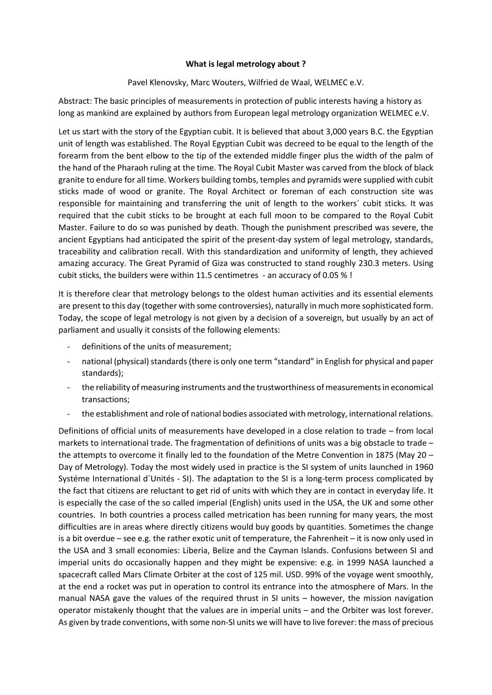## **What is legal metrology about ?**

## Pavel Klenovsky, Marc Wouters, Wilfried de Waal, WELMEC e.V.

Abstract: The basic principles of measurements in protection of public interests having a history as long as mankind are explained by authors from European legal metrology organization WELMEC e.V.

Let us start with the story of the Egyptian cubit. It is believed that about 3,000 years B.C. the Egyptian unit of length was established. The Royal Egyptian Cubit was decreed to be equal to the length of the forearm from the bent elbow to the tip of the extended middle finger plus the width of the palm of the hand of the Pharaoh ruling at the time. The Royal Cubit Master was carved from the block of black granite to endure for all time. Workers building tombs, temples and pyramids were supplied with cubit sticks made of wood or granite. The Royal Architect or foreman of each construction site was responsible for maintaining and transferring the unit of length to the workers´ cubit sticks. It was required that the cubit sticks to be brought at each full moon to be compared to the Royal Cubit Master. Failure to do so was punished by death. Though the punishment prescribed was severe, the ancient Egyptians had anticipated the spirit of the present-day system of legal metrology, standards, traceability and calibration recall. With this standardization and uniformity of length, they achieved amazing accuracy. The Great Pyramid of Giza was constructed to stand roughly 230.3 meters. Using cubit sticks, the builders were within 11.5 centimetres - an accuracy of 0.05 % !

It is therefore clear that metrology belongs to the oldest human activities and its essential elements are present to this day (together with some controversies), naturally in much more sophisticated form. Today, the scope of legal metrology is not given by a decision of a sovereign, but usually by an act of parliament and usually it consists of the following elements:

- definitions of the units of measurement;
- national (physical) standards (there is only one term "standard" in English for physical and paper standards);
- the reliability of measuring instruments and the trustworthiness of measurements in economical transactions;
- the establishment and role of national bodies associated with metrology, international relations.

Definitions of official units of measurements have developed in a close relation to trade – from local markets to international trade. The fragmentation of definitions of units was a big obstacle to trade – the attempts to overcome it finally led to the foundation of the Metre Convention in 1875 (May 20 – Day of Metrology). Today the most widely used in practice is the SI system of units launched in 1960 Systéme International d´Unités - SI). The adaptation to the SI is a long-term process complicated by the fact that citizens are reluctant to get rid of units with which they are in contact in everyday life. It is especially the case of the so called imperial (English) units used in the USA, the UK and some other countries. In both countries a process called metrication has been running for many years, the most difficulties are in areas where directly citizens would buy goods by quantities. Sometimes the change is a bit overdue – see e.g. the rather exotic unit of temperature, the Fahrenheit – it is now only used in the USA and 3 small economies: Liberia, Belize and the Cayman Islands. Confusions between SI and imperial units do occasionally happen and they might be expensive: e.g. in 1999 NASA launched a spacecraft called Mars Climate Orbiter at the cost of 125 mil. USD. 99% of the voyage went smoothly, at the end a rocket was put in operation to control its entrance into the atmosphere of Mars. In the manual NASA gave the values of the required thrust in SI units – however, the mission navigation operator mistakenly thought that the values are in imperial units – and the Orbiter was lost forever. As given by trade conventions, with some non-SI units we will have to live forever: the mass of precious